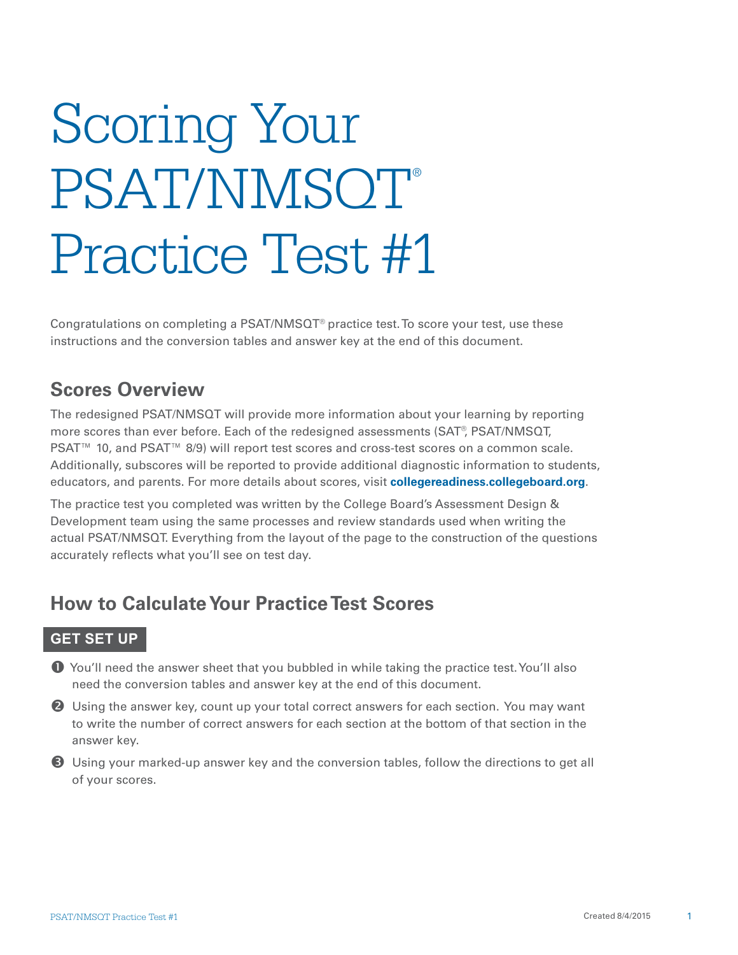# Scoring Your PSAT/NMSOT® Practice Test #1

Congratulations on completing a PSAT/NMS $QT^{\circ}$  practice test. To score your test, use these instructions and the conversion tables and answer key at the end of this document.

# **Scores Overview**

The redesigned PSAT/NMSQT will provide more information about your learning by reporting more scores than ever before. Each of the redesigned assessments (SAT®, PSAT/NMSQT, PSAT<sup>™</sup> 10, and PSAT<sup>™</sup> 8/9) will report test scores and cross-test scores on a common scale. Additionally, subscores will be reported to provide additional diagnostic information to students, educators, and parents. For more details about scores, visit **collegereadiness.collegeboard.org**.

The practice test you completed was written by the College Board's Assessment Design & Development team using the same processes and review standards used when writing the actual PSAT/NMSQT. Everything from the layout of the page to the construction of the questions accurately reflects what you'll see on test day.

# **How to Calculate Your Practice Test Scores**

### **GET SET UP**

- You'll need the answer sheet that you bubbled in while taking the practice test. You'll also need the conversion tables and answer key at the end of this document.
- **2** Using the answer key, count up your total correct answers for each section. You may want to write the number of correct answers for each section at the bottom of that section in the answer key.
- Using your marked-up answer key and the conversion tables, follow the directions to get all of your scores.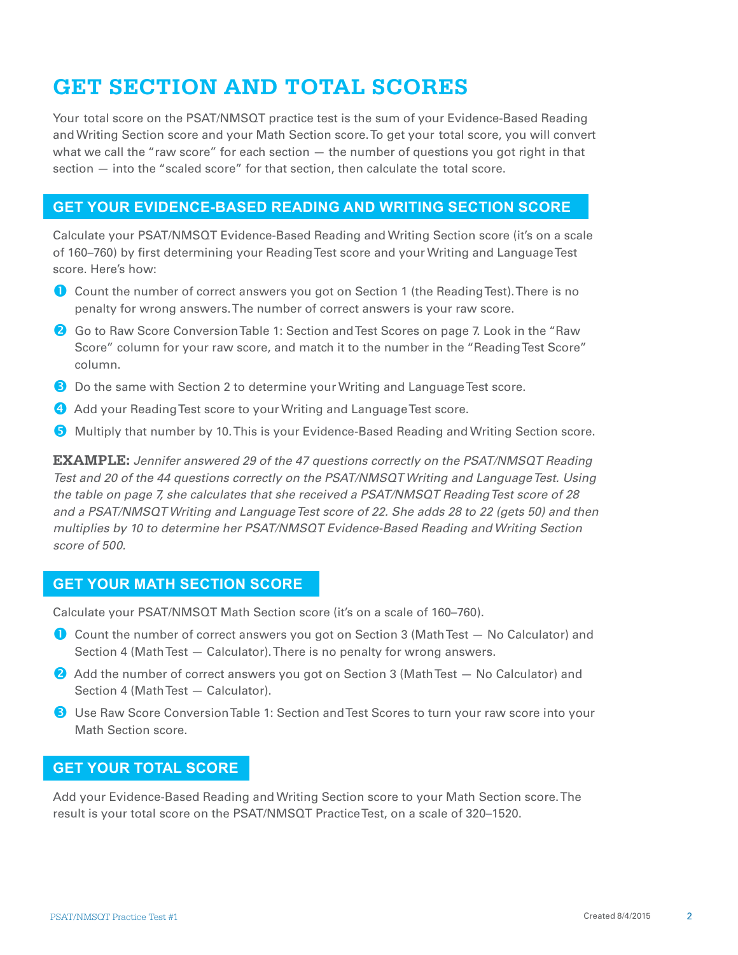# **GET SECTION AND TOTAL SCORES**

Your total score on the PSAT/NMSQT practice test is the sum of your Evidence-Based Reading and Writing Section score and your Math Section score. To get your total score, you will convert what we call the "raw score" for each section  $-$  the number of questions you got right in that section — into the "scaled score" for that section, then calculate the total score.

### **GET YOUR EVIDENCE-BASED READING AND WRITING SECTION SCORE**

Calculate your PSAT/NMSQT Evidence-Based Reading and Writing Section score (it's on a scale of 160–760) by first determining your Reading Test score and your Writing and Language Test score. Here's how:

- Count the number of correct answers you got on Section 1 (the Reading Test). There is no penalty for wrong answers. The number of correct answers is your raw score.
- **2** Go to Raw Score Conversion Table 1: Section and Test Scores on page 7. Look in the "Raw Score" column for your raw score, and match it to the number in the "Reading Test Score" column.
- **B** Do the same with Section 2 to determine your Writing and Language Test score.
- Add your Reading Test score to your Writing and Language Test score.
- **G** Multiply that number by 10. This is your Evidence-Based Reading and Writing Section score.

**EXAMPLE:** *Jennifer answered 29 of the 47 questions correctly on the PSAT/NMSQT Reading Test and 20 of the 44 questions correctly on the PSAT/NMSQT Writing and Language Test. Using the table on page 7, she calculates that she received a PSAT/NMSQT Reading Test score of 28 and a PSAT/NMSQT Writing and Language Test score of 22. She adds 28 to 22 (gets 50) and then multiplies by 10 to determine her PSAT/NMSQT Evidence-Based Reading and Writing Section score of 500.* 

### **GET YOUR MATH SECTION SCORE**

Calculate your PSAT/NMSQT Math Section score (it's on a scale of 160–760).

- Count the number of correct answers you got on Section 3 (Math Test No Calculator) and Section 4 (Math Test — Calculator). There is no penalty for wrong answers.
- **2** Add the number of correct answers you got on Section 3 (Math Test No Calculator) and Section 4 (Math Test — Calculator).
- **B** Use Raw Score Conversion Table 1: Section and Test Scores to turn your raw score into your Math Section score.

### **GET YOUR TOTAL SCORE**

Add your Evidence-Based Reading and Writing Section score to your Math Section score. The result is your total score on the PSAT/NMSQT Practice Test, on a scale of 320–1520.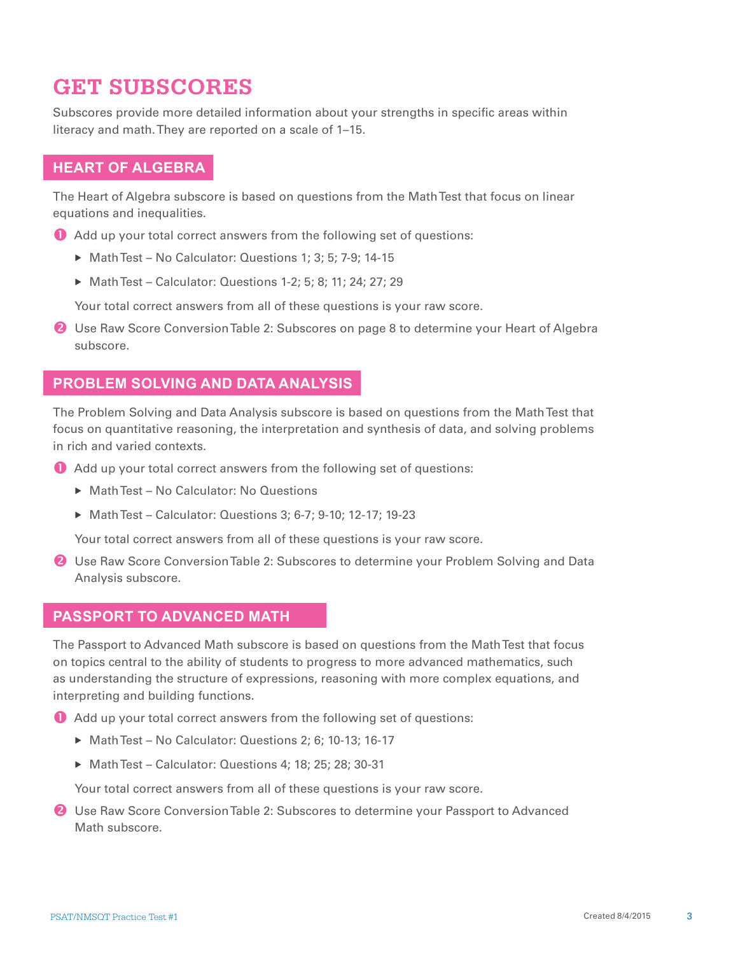# **GET SUBSCORES**

Subscores provide more detailed information about your strengths in specific areas within literacy and math. They are reported on a scale of 1–15.

### **HEART OF ALGEBRA**

The Heart of Algebra subscore is based on questions from the Math Test that focus on linear equations and inequalities.

- Add up your total correct answers from the following set of questions:
	- ▶ Math Test No Calculator: Questions 1; 3; 5; 7-9; 14-15
	- ▶ Math Test Calculator: Questions 1-2; 5; 8; 11; 24; 27; 29

Your total correct answers from all of these questions is your raw score.

**2** Use Raw Score Conversion Table 2: Subscores on page 8 to determine your Heart of Algebra subscore.

### **PROBLEM SOLVING AND DATA ANALYSIS**

The Problem Solving and Data Analysis subscore is based on questions from the Math Test that focus on quantitative reasoning, the interpretation and synthesis of data, and solving problems in rich and varied contexts.

- Add up your total correct answers from the following set of questions:
	- ▶ Math Test No Calculator: No Questions
	- ▶ Math Test Calculator: Questions 3; 6-7; 9-10; 12-17; 19-23

Your total correct answers from all of these questions is your raw score.

**2** Use Raw Score Conversion Table 2: Subscores to determine your Problem Solving and Data Analysis subscore.

### **PASSPORT TO ADVANCED MATH**

The Passport to Advanced Math subscore is based on questions from the Math Test that focus on topics central to the ability of students to progress to more advanced mathematics, such as understanding the structure of expressions, reasoning with more complex equations, and interpreting and building functions.

Add up your total correct answers from the following set of questions:

- ▶ Math Test No Calculator: Questions 2; 6; 10-13; 16-17
- Math Test Calculator: Questions 4; 18; 25; 28; 30-31

Your total correct answers from all of these questions is your raw score.

**2** Use Raw Score Conversion Table 2: Subscores to determine your Passport to Advanced Math subscore.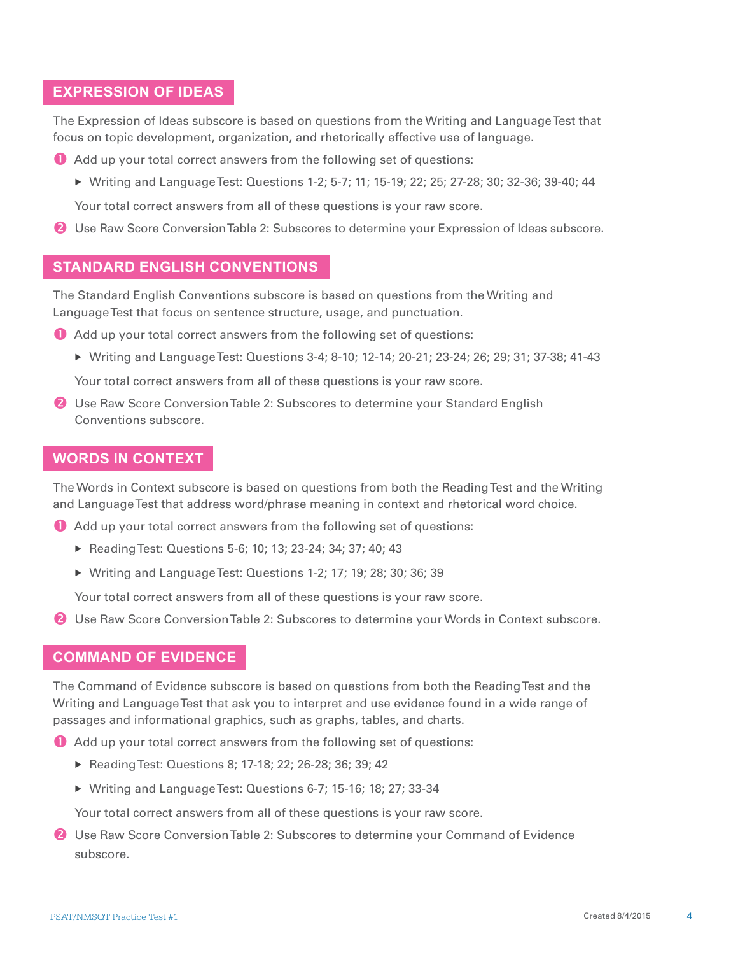### **EXPRESSION OF IDEAS**

The Expression of Ideas subscore is based on questions from the Writing and Language Test that focus on topic development, organization, and rhetorically effective use of language.

- Add up your total correct answers from the following set of questions:
	- ▶ Writing and Language Test: Questions 1-2; 5-7; 11; 15-19; 22; 25; 27-28; 30; 32-36; 39-40; 44

Your total correct answers from all of these questions is your raw score.

Use Raw Score Conversion Table 2: Subscores to determine your Expression of Ideas subscore.

### **STANDARD ENGLISH CONVENTIONS**

The Standard English Conventions subscore is based on questions from the Writing and Language Test that focus on sentence structure, usage, and punctuation.

- Add up your total correct answers from the following set of questions:
	- ▶ Writing and Language Test: Questions 3-4; 8-10; 12-14; 20-21; 23-24; 26; 29; 31; 37-38; 41-43

Your total correct answers from all of these questions is your raw score.

**2** Use Raw Score Conversion Table 2: Subscores to determine your Standard English Conventions subscore.

### **WORDS IN CONTEXT**

The Words in Context subscore is based on questions from both the Reading Test and the Writing and Language Test that address word/phrase meaning in context and rhetorical word choice.

- Add up your total correct answers from the following set of questions:
	- ▶ Reading Test: Questions 5-6; 10; 13; 23-24; 34; 37; 40; 43
	- Writing and Language Test: Questions 1-2; 17; 19; 28; 30; 36; 39

Your total correct answers from all of these questions is your raw score.

**2** Use Raw Score Conversion Table 2: Subscores to determine your Words in Context subscore.

### **COMMAND OF EVIDENCE**

The Command of Evidence subscore is based on questions from both the Reading Test and the Writing and Language Test that ask you to interpret and use evidence found in a wide range of passages and informational graphics, such as graphs, tables, and charts.

- Add up your total correct answers from the following set of questions:
	- ▶ Reading Test: Questions 8; 17-18; 22; 26-28; 36; 39; 42
	- Writing and Language Test: Questions 6-7; 15-16; 18; 27; 33-34

Your total correct answers from all of these questions is your raw score.

**2** Use Raw Score Conversion Table 2: Subscores to determine your Command of Evidence subscore.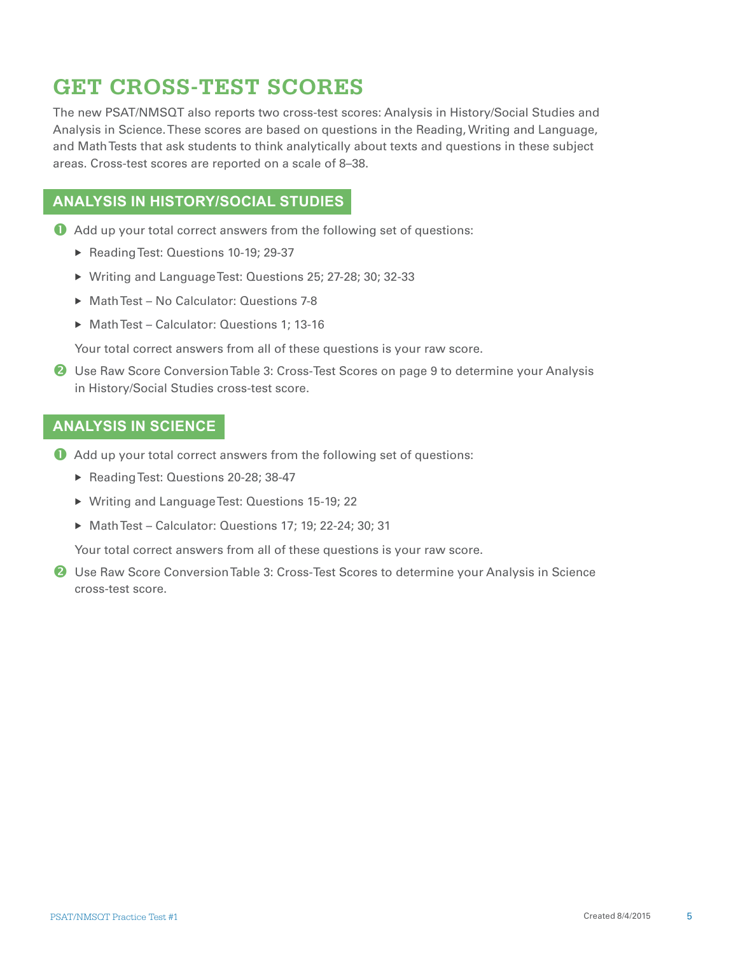# **GET CROSS-TEST SCORES**

The new PSAT/NMSQT also reports two cross-test scores: Analysis in History/Social Studies and Analysis in Science. These scores are based on questions in the Reading, Writing and Language, and Math Tests that ask students to think analytically about texts and questions in these subject areas. Cross-test scores are reported on a scale of 8–38.

## **ANALYSIS IN HISTORY/SOCIAL STUDIES**

- Add up your total correct answers from the following set of questions:
	- Reading Test: Questions 10-19; 29-37
	- Writing and Language Test: Questions 25; 27-28; 30; 32-33
	- ▶ Math Test No Calculator: Questions 7-8
	- ▶ Math Test Calculator: Questions 1; 13-16

Your total correct answers from all of these questions is your raw score.

**2** Use Raw Score Conversion Table 3: Cross-Test Scores on page 9 to determine your Analysis in History/Social Studies cross-test score.

### **ANALYSIS IN SCIENCE**

- Add up your total correct answers from the following set of questions:
	- Reading Test: Questions 20-28; 38-47
	- Writing and Language Test: Questions 15-19; 22
	- Math Test Calculator: Questions 17; 19; 22-24; 30; 31

Your total correct answers from all of these questions is your raw score.

**2** Use Raw Score Conversion Table 3: Cross-Test Scores to determine your Analysis in Science cross-test score.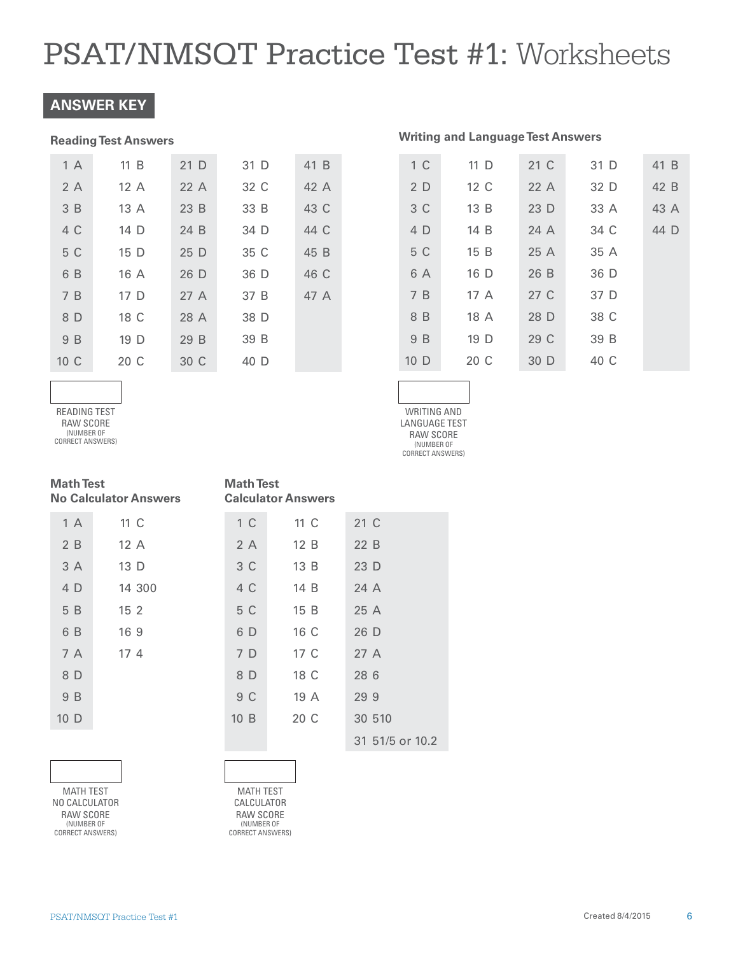### **ANSWER KEY**

#### **Reading Test Answers**

| 1 A  | 11 B | 21 D | 31 D | 41 B |
|------|------|------|------|------|
| 2A   | 12A  | 22A  | 32 C | 42 A |
| 3B   | 13A  | 23B  | 33 B | 43 C |
| 4 C  | 14 D | 24 B | 34 D | 44 C |
| 5 C  | 15 D | 25 D | 35 C | 45 B |
| 6 B  | 16 A | 26 D | 36 D | 46 C |
| 7B   | 17 D | 27A  | 37 B | 47 A |
| 8 D  | 18 C | 28 A | 38 D |      |
| 9 B  | 19 D | 29 B | 39 B |      |
| 10 C | 20 C | 30 C | 40 D |      |

| 1 <sup>C</sup>  | 11 D | 21 C | 31 D | 41 B |
|-----------------|------|------|------|------|
| 2 D             | 12 C | 22A  | 32 D | 42 B |
| 3 C             | 13B  | 23D  | 33 A | 43 A |
| 4 D             | 14 B | 24 A | 34 C | 44 D |
| 5 C             | 15 B | 25 A | 35 A |      |
| 6 A             | 16 D | 26 B | 36 D |      |
| 7B              | 17 A | 27 C | 37 D |      |
| 8 B             | 18 A | 28 D | 38 C |      |
| 9 B             | 19 D | 29 C | 39 B |      |
| 10 <sub>D</sub> | 20 C | 30 D | 40 C |      |

**Writing and Language Test Answers** 

WRITING AND LANGUAGE TEST RAW SCORE (NUMBER OF CORRECT ANSWERS)

READING TEST RAW SCORE (NUMBER OF

(NUMBER OF<br>CORRECT ANSWERS)

| <b>Math Test</b><br><b>No Calculator Answers</b> |                 | <b>Math Test</b> | <b>Calculator Answers</b> |                 |
|--------------------------------------------------|-----------------|------------------|---------------------------|-----------------|
| 1 A                                              | 11 C            | 1 <sup>C</sup>   | 11 C                      | 21 C            |
| 2 B                                              | 12A             | 2 A              | 12B                       | 22 B            |
| 3 A                                              | 13 D            | 3 C              | 13B                       | 23 D            |
| 4 D                                              | 14 300          | 4 C              | 14 B                      | 24 A            |
| 5 B                                              | 15 <sub>2</sub> | 5 C              | 15 B                      | 25 A            |
| 6 B                                              | 169             | 6 D              | 16 C                      | 26 D            |
| 7 A                                              | 17 <sub>4</sub> | 7 D              | 17 C                      | 27A             |
| 8 D                                              |                 | 8 D              | 18 C                      | 28 6            |
| 9 B                                              |                 | 9 C              | 19A                       | 299             |
| 10 <sub>D</sub>                                  |                 | 10B              | 20 C                      | 30 510          |
|                                                  |                 |                  |                           | 31 51/5 or 10.2 |

MATH TEST NO CALCULATOR RAW SCORE (NUMBER OF CORRECT ANSWERS)

MATH TEST CALCULATOR RAW SCORE (NUMBER OF CORRECT ANSWERS)

#### PSAT/NMSQT Practice Test #1 Created 8/4/2015 6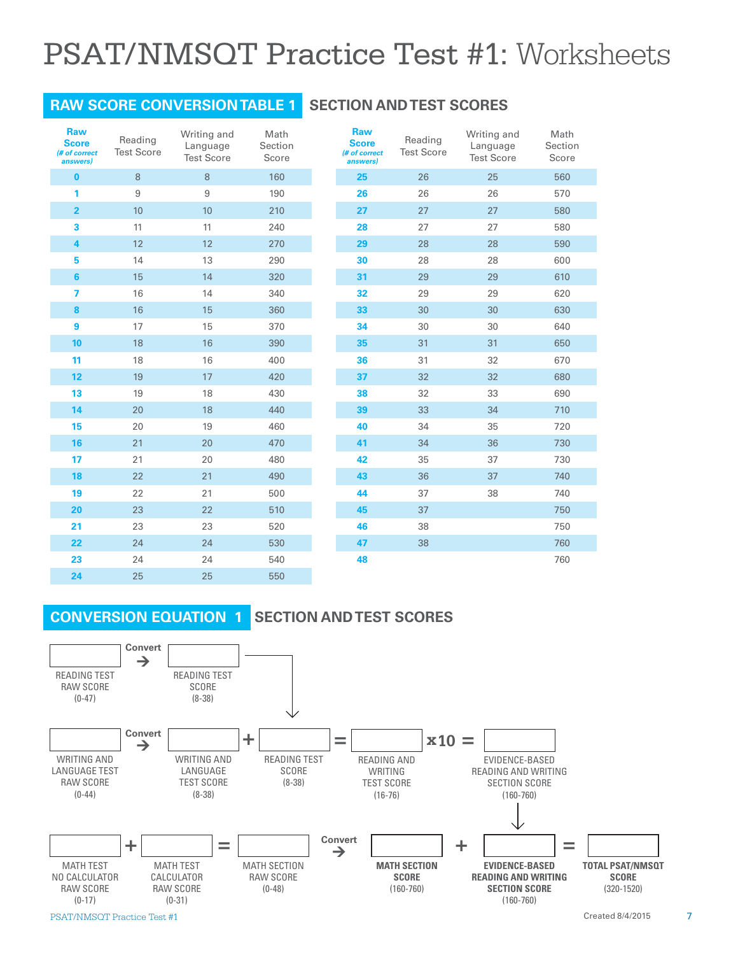### **RAW SCORE CONVERSION TABLE 1 SECTION AND TEST SCORES**

| <b>Raw</b><br><b>Score</b><br>(# of correct<br>answers) | Reading<br><b>Test Score</b> | Writing and<br>Language<br><b>Test Score</b> | Math<br>Section<br>Score | <b>Raw</b><br><b>Score</b><br>(# of correct<br>answers) | Readin<br><b>Test Sco</b> |
|---------------------------------------------------------|------------------------------|----------------------------------------------|--------------------------|---------------------------------------------------------|---------------------------|
| $\bf{0}$                                                | 8                            | $8\,$                                        | 160                      | 25                                                      | 26                        |
| 1                                                       | $\hbox{9}$                   | $\boldsymbol{9}$                             | 190                      | 26                                                      | 26                        |
| $\overline{2}$                                          | 10                           | 10                                           | 210                      | 27                                                      | 27                        |
| 3                                                       | 11                           | 11                                           | 240                      | 28                                                      | 27                        |
| $\overline{\mathbf{4}}$                                 | 12                           | 12                                           | 270                      | 29                                                      | 28                        |
| 5                                                       | 14                           | 13                                           | 290                      | 30                                                      | 28                        |
| $6\phantom{1}$                                          | 15                           | 14                                           | 320                      | 31                                                      | 29                        |
| 7                                                       | 16                           | 14                                           | 340                      | 32                                                      | 29                        |
| 8                                                       | 16                           | 15                                           | 360                      | 33                                                      | 30                        |
| 9                                                       | 17                           | 15                                           | 370                      | 34                                                      | 30                        |
| 10                                                      | 18                           | 16                                           | 390                      | 35                                                      | 31                        |
| 11                                                      | 18                           | 16                                           | 400                      | 36                                                      | 31                        |
| 12                                                      | 19                           | 17                                           | 420                      | 37                                                      | 32                        |
| 13                                                      | 19                           | 18                                           | 430                      | 38                                                      | 32                        |
| 14                                                      | 20                           | 18                                           | 440                      | 39                                                      | 33                        |
| 15                                                      | 20                           | 19                                           | 460                      | 40                                                      | 34                        |
| 16                                                      | 21                           | 20                                           | 470                      | 41                                                      | 34                        |
| 17                                                      | 21                           | 20                                           | 480                      | 42                                                      | 35                        |
| 18                                                      | 22                           | 21                                           | 490                      | 43                                                      | 36                        |
| 19                                                      | 22                           | 21                                           | 500                      | 44                                                      | 37                        |
| 20                                                      | 23                           | 22                                           | 510                      | 45                                                      | 37                        |
| 21                                                      | 23                           | 23                                           | 520                      | 46                                                      | 38                        |
| 22                                                      | 24                           | 24                                           | 530                      | 47                                                      | 38                        |
| 23                                                      | 24                           | 24                                           | 540                      | 48                                                      |                           |
| 24                                                      | 25                           | 25                                           | 550                      |                                                         |                           |

| <b>Kaw</b><br><b>Score</b><br>(# of correct<br>answers) | Reading<br><b>Test Score</b> | Writing and<br>Language<br><b>Test Score</b> | Math<br>Section<br>Score |
|---------------------------------------------------------|------------------------------|----------------------------------------------|--------------------------|
| 25                                                      | 26                           | 25                                           | 560                      |
| 26                                                      | 26                           | 26                                           | 570                      |
| 27                                                      | 27                           | 27                                           | 580                      |
| 28                                                      | 27                           | 27                                           | 580                      |
| 29                                                      | 28                           | 28                                           | 590                      |
| 30                                                      | 28                           | 28                                           | 600                      |
| 31                                                      | 29                           | 29                                           | 610                      |
| 32                                                      | 29                           | 29                                           | 620                      |
| 33                                                      | 30                           | 30                                           | 630                      |
| 34                                                      | 30                           | 30                                           | 640                      |
| 35                                                      | 31                           | 31                                           | 650                      |
| 36                                                      | 31                           | 32                                           | 670                      |
| 37                                                      | 32                           | 32                                           | 680                      |
| 38                                                      | 32                           | 33                                           | 690                      |
| 39                                                      | 33                           | 34                                           | 710                      |
| 40                                                      | 34                           | 35                                           | 720                      |
| 41                                                      | 34                           | 36                                           | 730                      |
| 42                                                      | 35                           | 37                                           | 730                      |
| 43                                                      | 36                           | 37                                           | 740                      |
| 44                                                      | 37                           | 38                                           | 740                      |
| 45                                                      | 37                           |                                              | 750                      |
| 46                                                      | 38                           |                                              | 750                      |
| 47                                                      | 38                           |                                              | 760                      |
| 48                                                      |                              |                                              | 760                      |

### **CONVERSION EQUATION 1**

### **SECTION AND TEST SCORES**

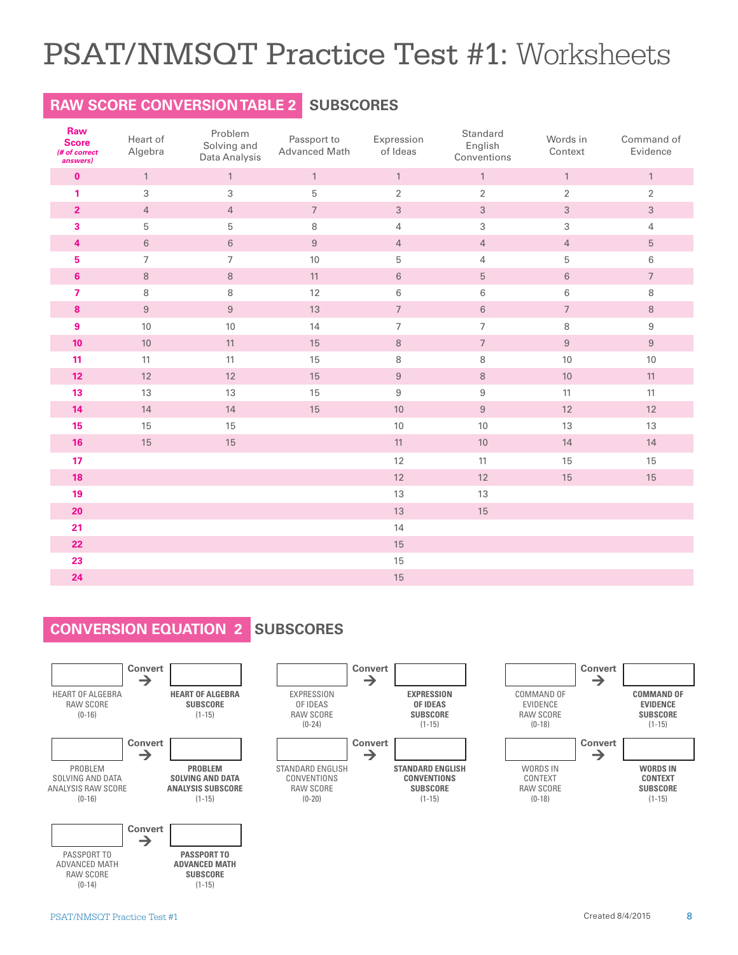# **RAW SCORE CONVERSION TABLE 2 SUBSCORES**

| Raw<br><b>Score</b><br>(# of correct<br>answers) | Heart of<br>Algebra | Problem<br>Solving and<br>Data Analysis | Passport to<br>Advanced Math | Expression<br>of Ideas   | Standard<br>English<br>Conventions | Words in<br>Context | Command of<br>Evidence |
|--------------------------------------------------|---------------------|-----------------------------------------|------------------------------|--------------------------|------------------------------------|---------------------|------------------------|
| $\mathbf{0}$                                     | $\mathbf{1}$        | $\mathbf{1}$                            | $\mathbf{1}$                 | $\mathbf{1}$             | $\mathbf{1}$                       | $\mathbf{1}$        | $\mathbf{1}$           |
| 1                                                | 3                   | $\,$ 3 $\,$                             | $\mathbf 5$                  | $\sqrt{2}$               | $\sqrt{2}$                         | $\overline{2}$      | $\sqrt{2}$             |
| $\overline{2}$                                   | $\overline{4}$      | $\overline{4}$                          | $\overline{7}$               | $\sqrt{3}$               | $\sqrt{3}$                         | $\sqrt{3}$          | $\sqrt{3}$             |
| 3                                                | 5                   | 5                                       | 8                            | $\overline{4}$           | 3                                  | 3                   | $\overline{4}$         |
| 4                                                | $\,6\,$             | $\,6\,$                                 | $\boldsymbol{9}$             | $\overline{4}$           | $\overline{4}$                     | $\overline{4}$      | $\sqrt{5}$             |
| 5                                                | $\overline{7}$      | $\overline{7}$                          | 10                           | 5                        | 4                                  | 5                   | $\,6\,$                |
| $6\phantom{1}$                                   | $\,8\,$             | $\,8\,$                                 | 11                           | $\,6\,$                  | $\sqrt{5}$                         | $\,6\,$             | $\sqrt{ }$             |
| $\overline{7}$                                   | 8                   | 8                                       | 12                           | 6                        | 6                                  | 6                   | 8                      |
| 8                                                | $\,9$               | $\boldsymbol{9}$                        | 13                           | $\sqrt{ }$               | $\,6\,$                            | $\overline{7}$      | $\,8\,$                |
| $\boldsymbol{9}$                                 | 10                  | 10                                      | 14                           | $\overline{\phantom{a}}$ | $\overline{7}$                     | 8                   | $\boldsymbol{9}$       |
| 10                                               | 10                  | 11                                      | 15                           | $\,8\,$                  | $\boldsymbol{7}$                   | $\boldsymbol{9}$    | $\boldsymbol{9}$       |
| 11                                               | 11                  | 11                                      | 15                           | $\,8\,$                  | $\,8\,$                            | 10                  | 10                     |
| 12 <sub>2</sub>                                  | 12                  | 12                                      | 15                           | $\boldsymbol{9}$         | $\,8\,$                            | $10$                | 11                     |
| 13                                               | 13                  | 13                                      | 15                           | $\boldsymbol{9}$         | $\boldsymbol{9}$                   | 11                  | 11                     |
| 14                                               | 14                  | 14                                      | 15                           | 10                       | $\boldsymbol{9}$                   | 12                  | $12\,$                 |
| 15                                               | 15                  | 15                                      |                              | $10$                     | 10                                 | 13                  | 13                     |
| 16                                               | 15                  | 15                                      |                              | 11                       | 10                                 | 14                  | 14                     |
| 17                                               |                     |                                         |                              | 12                       | 11                                 | 15                  | 15                     |
| 18                                               |                     |                                         |                              | 12                       | 12                                 | 15                  | 15                     |
| 19                                               |                     |                                         |                              | 13                       | 13                                 |                     |                        |
| 20                                               |                     |                                         |                              | 13                       | 15                                 |                     |                        |
| 21                                               |                     |                                         |                              | 14                       |                                    |                     |                        |
| 22                                               |                     |                                         |                              | 15                       |                                    |                     |                        |
| 23                                               |                     |                                         |                              | 15                       |                                    |                     |                        |
| 24                                               |                     |                                         |                              | 15                       |                                    |                     |                        |

## **CONVERSION EQUATION 2 SUBSCORES**